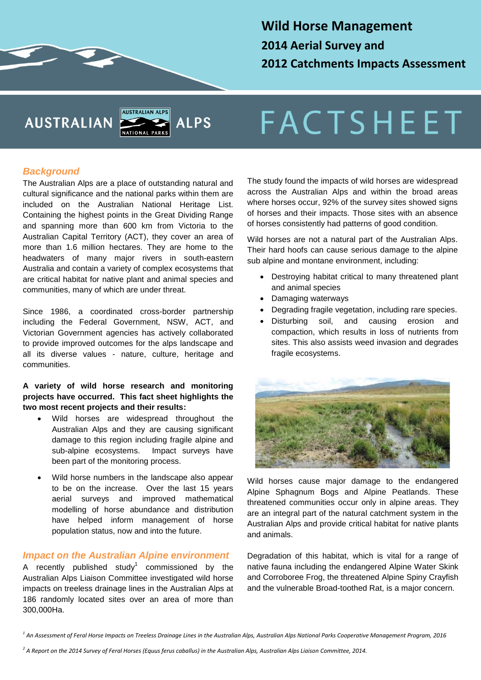## **Wild Horse Management 2014 Aerial Survey and 2012 Catchments Impacts Assessment**

# **AUSTRALIAN**



# **FACTSHEET**

#### *Background*

The Australian Alps are a place of outstanding natural and cultural significance and the national parks within them are included on the Australian National Heritage List. Containing the highest points in the Great Dividing Range and spanning more than 600 km from Victoria to the Australian Capital Territory (ACT), they cover an area of more than 1.6 million hectares. They are home to the headwaters of many major rivers in south-eastern Australia and contain a variety of complex ecosystems that are critical habitat for native plant and animal species and communities, many of which are under threat.

Since 1986, a coordinated cross-border partnership including the Federal Government, NSW, ACT, and Victorian Government agencies has actively collaborated to provide improved outcomes for the alps landscape and all its diverse values - nature, culture, heritage and communities.

#### **A variety of wild horse research and monitoring projects have occurred. This fact sheet highlights the two most recent projects and their results:**

- Wild horses are widespread throughout the Australian Alps and they are causing significant damage to this region including fragile alpine and sub-alpine ecosystems. Impact surveys have been part of the monitoring process.
- Wild horse numbers in the landscape also appear to be on the increase. Over the last 15 years aerial surveys and improved mathematical modelling of horse abundance and distribution have helped inform management of horse population status, now and into the future.

#### *Impact on the Australian Alpine environment*

A recently published study<sup>1</sup> commissioned by the Australian Alps Liaison Committee investigated wild horse impacts on treeless drainage lines in the Australian Alps at 186 randomly located sites over an area of more than 300,000Ha.

The study found the impacts of wild horses are widespread across the Australian Alps and within the broad areas where horses occur, 92% of the survey sites showed signs of horses and their impacts. Those sites with an absence of horses consistently had patterns of good condition.

Wild horses are not a natural part of the Australian Alps. Their hard hoofs can cause serious damage to the alpine sub alpine and montane environment, including:

- Destroying habitat critical to many threatened plant and animal species
- Damaging waterways
- Degrading fragile vegetation, including rare species.
- Disturbing soil, and causing erosion and compaction, which results in loss of nutrients from sites. This also assists weed invasion and degrades fragile ecosystems.



Wild horses cause major damage to the endangered Alpine Sphagnum Bogs and Alpine Peatlands. These threatened communities occur only in alpine areas. They are an integral part of the natural catchment system in the Australian Alps and provide critical habitat for native plants and animals.

Degradation of this habitat, which is vital for a range of native fauna including the endangered Alpine Water Skink and Corroboree Frog, the threatened Alpine Spiny Crayfish and the vulnerable Broad-toothed Rat, is a major concern.

*<sup>1</sup> An Assessment of Feral Horse Impacts on Treeless Drainage Lines in the Australian Alps, Australian Alps National Parks Cooperative Management Program, 2016*

*<sup>2</sup> A Report on the 2014 Survey of Feral Horses (Equus ferus caballus) in the Australian Alps, Australian Alps Liaison Committee, 2014.*